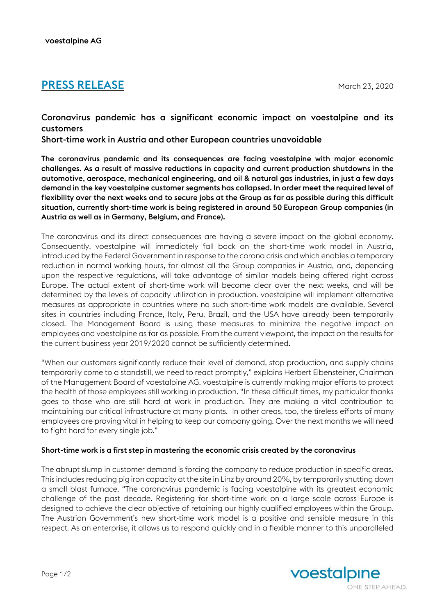# **PRESS RELEASE** March 23, 2020

Coronavirus pandemic has a significant economic impact on voestalpine and its customers

Short-time work in Austria and other European countries unavoidable

The coronavirus pandemic and its consequences are facing voestalpine with major economic challenges. As a result of massive reductions in capacity and current production shutdowns in the automotive, aerospace, mechanical engineering, and oil & natural gas industries, in just a few days demand in the key voestalpine customer segments has collapsed. In order meet the required level of flexibility over the next weeks and to secure jobs at the Group as far as possible during this difficult situation, currently short-time work is being registered in around 50 European Group companies (in Austria as well as in Germany, Belgium, and France).

The coronavirus and its direct consequences are having a severe impact on the global economy. Consequently, voestalpine will immediately fall back on the short-time work model in Austria, introduced by the Federal Government in response to the corona crisis and which enables a temporary reduction in normal working hours, for almost all the Group companies in Austria, and, depending upon the respective regulations, will take advantage of similar models being offered right across Europe. The actual extent of short-time work will become clear over the next weeks, and will be determined by the levels of capacity utilization in production. voestalpine will implement alternative measures as appropriate in countries where no such short-time work models are available. Several sites in countries including France, Italy, Peru, Brazil, and the USA have already been temporarily closed. The Management Board is using these measures to minimize the negative impact on employees and voestalpine as far as possible. From the current viewpoint, the impact on the results for the current business year 2019/2020 cannot be sufficiently determined.

"When our customers significantly reduce their level of demand, stop production, and supply chains temporarily come to a standstill, we need to react promptly," explains Herbert Eibensteiner, Chairman of the Management Board of voestalpine AG. voestalpine is currently making major efforts to protect the health of those employees still working in production. "In these difficult times, my particular thanks goes to those who are still hard at work in production. They are making a vital contribution to maintaining our critical infrastructure at many plants. In other areas, too, the tireless efforts of many employees are proving vital in helping to keep our company going. Over the next months we will need to fight hard for every single job."

## Short-time work is a first step in mastering the economic crisis created by the coronavirus

The abrupt slump in customer demand is forcing the company to reduce production in specific areas. This includes reducing pig iron capacity at the site in Linz by around 20%, by temporarily shutting down a small blast furnace. "The coronavirus pandemic is facing voestalpine with its greatest economic challenge of the past decade. Registering for short-time work on a large scale across Europe is designed to achieve the clear objective of retaining our highly qualified employees within the Group. The Austrian Government's new short-time work model is a positive and sensible measure in this respect. As an enterprise, it allows us to respond quickly and in a flexible manner to this unparalleled